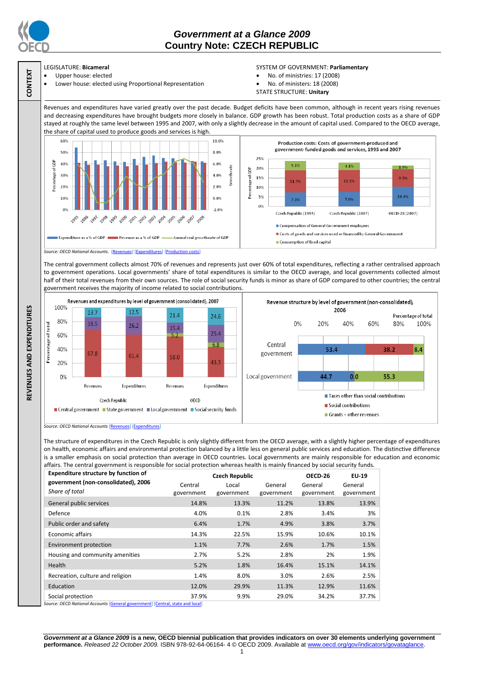

**CONTEXT**

**REVENUES AND EXPENDITURES**

REVENUES AND EXPENDITURES

## *Government at a Glance 2009*  **Country Note: CZECH REPUBLIC**

## LEGISLATURE: **Bicameral**

 Upper house: elected Lower house: elected using Proportional Representation

## SYSTEM OF GOVERNMENT: **Parliamentary**

- No. of ministries: 17 (2008)
- No. of ministers: 18 (2008)
- STATE STRUCTURE: **Unitary**

Revenues and expenditures have varied greatly over the past decade. Budget deficits have been common, although in recent years rising revenues and decreasing expenditures have brought budgets more closely in balance. GDP growth has been robust. Total production costs as a share of GDP stayed at roughly the same level between 1995 and 2007, with only a slightly decrease in the amount of capital used. Compared to the OECD average, the share of capital used to produce goods and services is high.



The central government collects almost 70% of revenues and represents just over 60% of total expenditures, reflecting a rather centralised approach to government operations. Local governments' share of total expenditures is similar to the OECD average, and local governments collected almost half of their total revenues from their own sources. The role of social security funds is minor as share of GDP compared to other countries; the central government receives the majority of income related to social contributions.



*Source: OECD National Accounts* [\[Revenues\]](http://dx.doi.org/10.1787/723418413857) [\[Expenditures\]](http://dx.doi.org/10.1787/723508524025)

The structure of expenditures in the Czech Republic is only slightly different from the OECD average, with a slightly higher percentage of expenditures on health, economic affairs and environmental protection balanced by a little less on general public services and education. The distinctive difference is a smaller emphasis on social protection than average in OECD countries. Local governments are mainly responsible for education and economic affairs. The central government is responsible for social protection whereas health is mainly financed by social security funds.

| <b>Expenditure structure by function of</b>                                                         |                       | <b>Czech Republic</b> |                       | OECD-26               | EU-19                 |
|-----------------------------------------------------------------------------------------------------|-----------------------|-----------------------|-----------------------|-----------------------|-----------------------|
| government (non-consolidated), 2006<br>Share of total                                               | Central<br>government | Local<br>government   | General<br>government | General<br>government | General<br>government |
| General public services                                                                             | 14.8%                 | 13.3%                 | 11.2%                 | 13.8%                 | 13.9%                 |
| Defence                                                                                             | 4.0%                  | 0.1%                  | 2.8%                  | 3.4%                  | 3%                    |
| Public order and safety                                                                             | 6.4%                  | 1.7%                  | 4.9%                  | 3.8%                  | 3.7%                  |
| <b>Economic affairs</b>                                                                             | 14.3%                 | 22.5%                 | 15.9%                 | 10.6%                 | 10.1%                 |
| Environment protection                                                                              | 1.1%                  | 7.7%                  | 2.6%                  | 1.7%                  | 1.5%                  |
| Housing and community amenities                                                                     | 2.7%                  | 5.2%                  | 2.8%                  | 2%                    | 1.9%                  |
| Health                                                                                              | 5.2%                  | 1.8%                  | 16.4%                 | 15.1%                 | 14.1%                 |
| Recreation, culture and religion                                                                    | 1.4%                  | 8.0%                  | 3.0%                  | 2.6%                  | 2.5%                  |
| Education                                                                                           | 12.0%                 | 29.9%                 | 11.3%                 | 12.9%                 | 11.6%                 |
| Social protection<br>Guirce: OECD National Accounts [General government] [Central, state and local] | 37.9%                 | 9.9%                  | 29.0%                 | 34.2%                 | 37.7%                 |

*Source: OECD National Accounts* [\[General government\]](http://dx.doi.org/10.1787/723501646741) [\[Central, state and local\]](http://dx.doi.org/10.1787/723508524025)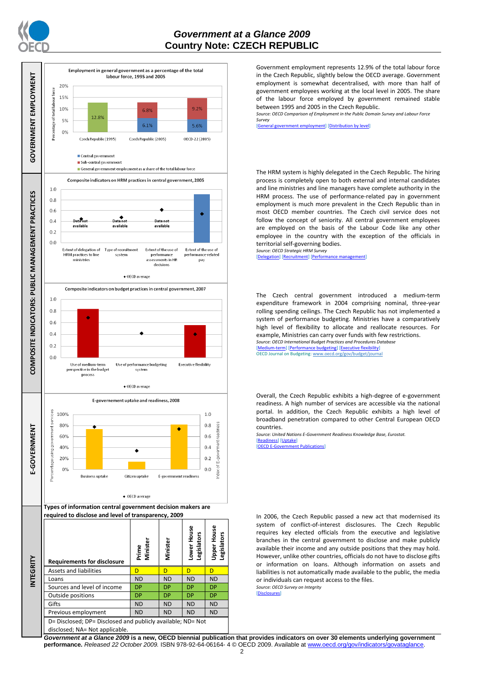



Government employment represents 12.9% of the total labour force in the Czech Republic, slightly below the OECD average. Government employment is somewhat decentralised, with more than half of government employees working at the local level in 2005. The share of the labour force employed by government remained stable between 1995 and 2005 in the Czech Republic.

*Source: OECD Comparison of Employment in the Public Domain Survey and Labour Force Survey*

ernment employment] [\[Distribution by level\]](http://dx.doi.org/10.1787/723627140760)

The HRM system is highly delegated in the Czech Republic. The hiring process is completely open to both external and internal candidates and line ministries and line managers have complete authority in the HRM process. The use of performance-related pay in government employment is much more prevalent in the Czech Republic than in most OECD member countries. The Czech civil service does not follow the concept of seniority. All central government employees are employed on the basis of the Labour Code like any other employee in the country with the exception of the officials in territorial self-governing bodies.

*Source: OECD Strategic HRM Survey*  [\[Delegation\]](http://dx.doi.org/10.1787/723663744332) [\[Recruitment\]](http://dx.doi.org/10.1787/723668744361) [\[Performance management\]](http://dx.doi.org/10.1787/723750171710)

The Czech central government introduced a medium-term expenditure framework in 2004 comprising nominal, three-year rolling spending ceilings. The Czech Republic has not implemented a system of performance budgeting. Ministries have a comparatively high level of flexibility to allocate and reallocate resources. For example, Ministries can carry over funds with few restrictions. *Source: OECD International Budget Practices and Procedures Database*

[\[Medium-term\]](http://dx.doi.org/10.1787/723856770865) [\[Performance budgeting\]](http://dx.doi.org/10.1787/723863437686) [\[Executive flexibility\]](http://dx.doi.org/10.1787/723876713213) OECD Journal on Budgeting[: www.oecd.org/gov/budget/journal](http://www.oecd.org/gov/budget/journal)

Overall, the Czech Republic exhibits a high-degree of e-government readiness. A high number of services are accessible via the national portal. In addition, the Czech Republic exhibits a high level of broadband penetration compared to other Central European OECD countries.

*Source: United Nations E-Government Readiness Knowledge Base, Eurostat.* [\[Readiness\]](http://dx.doi.org/10.1787/724248078408) [\[Uptake\]](http://dx.doi.org/10.1787/724264662272) [\[OECD E-Government Publications\]](http://www.oecd.org/document/40/0,3343,en_2649_34129_41342248_1_1_1_1,00.html)

In 2006, the Czech Republic passed a new act that modernised its system of conflict-of-interest disclosures. The Czech Republic requires key elected officials from the executive and legislative branches in the central government to disclose and make publicly available their income and any outside positions that they may hold. However, unlike other countries, officials do not have to disclose gifts or information on loans. Although information on assets and liabilities is not automatically made available to the public, the media or individuals can request access to the files. *Source: OECD Survey on Integrity*

[\[Disclosures\]](http://dx.doi.org/10.1787/724123642681)

*Government at a Glance 2009* **is a new, OECD biennial publication that provides indicators on over 30 elements underlying government performance.** *Released 22 October 2009.* ISBN 978-92-64-06164- 4 © OECD 2009. Available at www.oecd.org/gov/indicators/govataglance.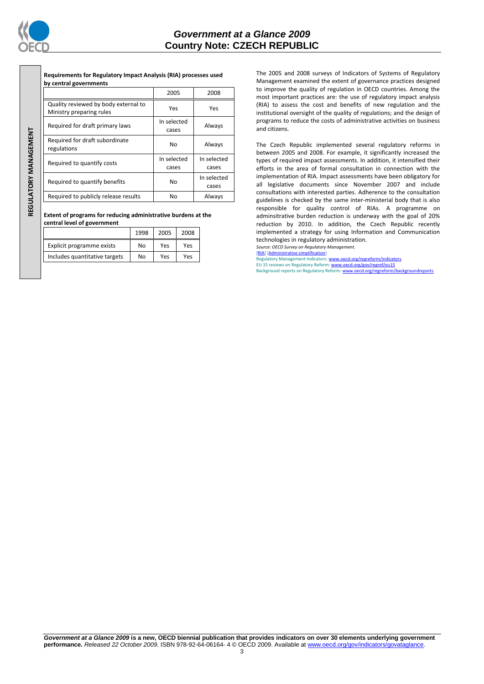

REGULATORY MANAGEMENT **REGULATORY MANAGEMENT**

**Requirements for Regulatory Impact Analysis (RIA) processes used by central governments**

|                                                                  | 2005                 | 2008                 |  |
|------------------------------------------------------------------|----------------------|----------------------|--|
| Quality reviewed by body external to<br>Ministry preparing rules | Yes                  | Yes                  |  |
| Required for draft primary laws                                  | In selected<br>cases | Always               |  |
| Required for draft subordinate<br>regulations                    | No                   | Always               |  |
| Required to quantify costs                                       | In selected<br>cases | In selected<br>cases |  |
| Required to quantify benefits                                    | No                   | In selected<br>cases |  |
| Required to publicly release results                             | No                   | Always               |  |

**Extent of programs for reducing administrative burdens at the central level of government**

|                               | 1998 | 2005 | 2008 |
|-------------------------------|------|------|------|
| Explicit programme exists     | No   | Yes  | Yes  |
| Includes quantitative targets | No   | Yes  | Yes  |

The 2005 and 2008 surveys of Indicators of Systems of Regulatory Management examined the extent of governance practices designed to improve the quality of regulation in OECD countries. Among the most important practices are: the use of regulatory impact analysis (RIA) to assess the cost and benefits of new regulation and the institutional oversight of the quality of regulations; and the design of programs to reduce the costs of administrative activities on business and citizens.

The Czech Republic implemented several regulatory reforms in between 2005 and 2008. For example, it significantly increased the types of required impact assessments. In addition, it intensified their efforts in the area of formal consultation in connection with the implementation of RIA. Impact assessments have been obligatory for all legislative documents since November 2007 and include consultations with interested parties. Adherence to the consultation guidelines is checked by the same inter-ministerial body that is also responsible for quality control of RIAs. A programme on adminsitrative burden reduction is underway with the goal of 20% reduction by 2010. In addition, the Czech Republic recently implemented a strategy for using Information and Communication technologies in regulatory administration.

*Source: OECD Survey on Regulatory Management.* [\[RIA\]](http://dx.doi.org/10.1787/724045144354) [\[Administrative simplification\]](http://dx.doi.org/10.1787/724058851054)

Regulatory Management Indicators[: www.oecd.org/regreform/indicators](http://www.oecd.org/regreform/indicators)<br>EU 15 reviews on Regulatory Reform[: www.oecd.org/gov/regref/eu15](http://www.oecd.org/gov/regref/eu15) Background reports on Regulatory Reform[: www.oecd.org/regreform/backgroundreports](http://www.oecd.org/regreform/backgroundreports)